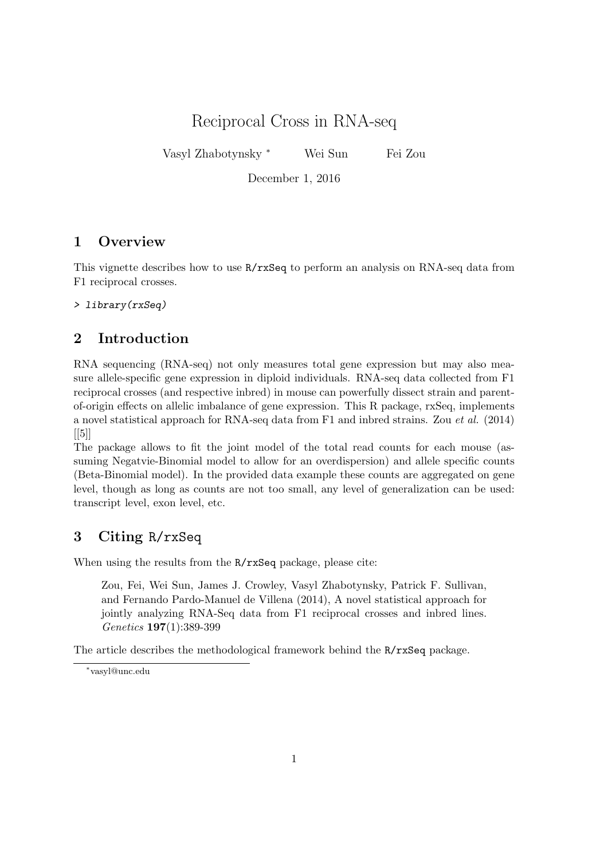Reciprocal Cross in RNA-seq

Vasyl Zhabotynsky <sup>∗</sup> Wei Sun Fei Zou

December 1, 2016

## 1 Overview

This vignette describes how to use R/rxSeq to perform an analysis on RNA-seq data from F1 reciprocal crosses.

> library(rxSeq)

# 2 Introduction

RNA sequencing (RNA-seq) not only measures total gene expression but may also measure allele-specific gene expression in diploid individuals. RNA-seq data collected from F1 reciprocal crosses (and respective inbred) in mouse can powerfully dissect strain and parentof-origin effects on allelic imbalance of gene expression. This R package, rxSeq, implements a novel statistical approach for RNA-seq data from F1 and inbred strains. Zou et al. (2014)  $\lfloor 5 \rfloor$ 

The package allows to fit the joint model of the total read counts for each mouse (assuming Negatvie-Binomial model to allow for an overdispersion) and allele specific counts (Beta-Binomial model). In the provided data example these counts are aggregated on gene level, though as long as counts are not too small, any level of generalization can be used: transcript level, exon level, etc.

## 3 Citing R/rxSeq

When using the results from the R/rxSeq package, please cite:

Zou, Fei, Wei Sun, James J. Crowley, Vasyl Zhabotynsky, Patrick F. Sullivan, and Fernando Pardo-Manuel de Villena (2014), A novel statistical approach for jointly analyzing RNA-Seq data from F1 reciprocal crosses and inbred lines. Genetics 197(1):389-399

The article describes the methodological framework behind the R/rxSeq package.

<sup>∗</sup> vasyl@unc.edu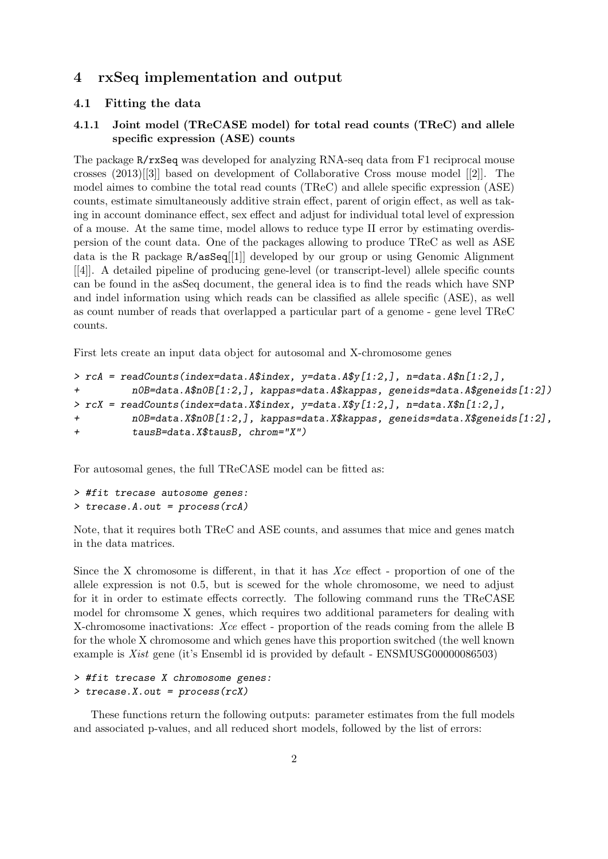## 4 rxSeq implementation and output

#### 4.1 Fitting the data

### 4.1.1 Joint model (TReCASE model) for total read counts (TReC) and allele specific expression (ASE) counts

The package R/rxSeq was developed for analyzing RNA-seq data from F1 reciprocal mouse crosses (2013)[[3]] based on development of Collaborative Cross mouse model [[2]]. The model aimes to combine the total read counts (TReC) and allele specific expression (ASE) counts, estimate simultaneously additive strain effect, parent of origin effect, as well as taking in account dominance effect, sex effect and adjust for individual total level of expression of a mouse. At the same time, model allows to reduce type II error by estimating overdispersion of the count data. One of the packages allowing to produce TReC as well as ASE data is the R package R/asSeq[[1]] developed by our group or using Genomic Alignment [[4]]. A detailed pipeline of producing gene-level (or transcript-level) allele specific counts can be found in the asSeq document, the general idea is to find the reads which have SNP and indel information using which reads can be classified as allele specific (ASE), as well as count number of reads that overlapped a particular part of a genome - gene level TReC counts.

First lets create an input data object for autosomal and X-chromosome genes

```
> rcA = readCounts(index=data.A$index, y=data.A$y[1:2,], n=data.A$n[1:2,],
+ n0B=data.A$n0B[1:2,], kappas=data.A$kappas, geneids=data.A$geneids[1:2])
> rcX = readCounts(index=data.X$index, y=data.X$y[1:2,], n=data.X$n[1:2,],
         + n0B=data.X$n0B[1:2,], kappas=data.X$kappas, geneids=data.X$geneids[1:2],
+ tausB=data.X$tausB, chrom="X")
```
For autosomal genes, the full TReCASE model can be fitted as:

```
> #fit trecase autosome genes:
> trecase.A.out = process(rcA)
```
Note, that it requires both TReC and ASE counts, and assumes that mice and genes match in the data matrices.

Since the X chromosome is different, in that it has Xce effect - proportion of one of the allele expression is not 0.5, but is scewed for the whole chromosome, we need to adjust for it in order to estimate effects correctly. The following command runs the TReCASE model for chromsome X genes, which requires two additional parameters for dealing with X-chromosome inactivations: Xce effect - proportion of the reads coming from the allele B for the whole X chromosome and which genes have this proportion switched (the well known example is Xist gene (it's Ensembl id is provided by default - ENSMUSG00000086503)

```
> #fit trecase X chromosome genes:
> trecase.X.out = process(rcX)
```
These functions return the following outputs: parameter estimates from the full models and associated p-values, and all reduced short models, followed by the list of errors: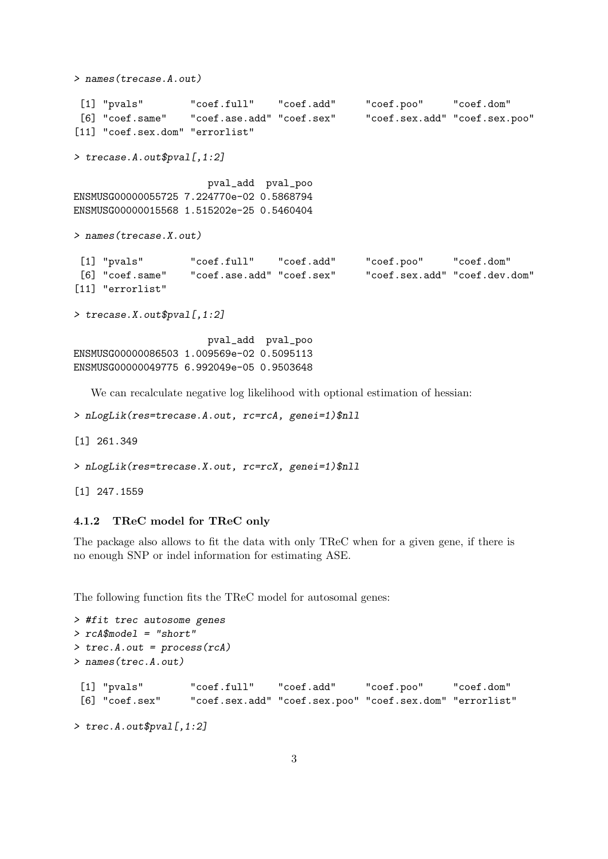```
> names(trecase.A.out)
 [1] "pvals" "coef.full" "coef.add" "coef.poo" "coef.dom"
 [6] "coef.same" "coef.ase.add" "coef.sex" "coef.sex.add" "coef.sex.poo"
[11] "coef.sex.dom" "errorlist"
> trecase.A.out$pval[,1:2]
                     pval_add pval_poo
ENSMUSG00000055725 7.224770e-02 0.5868794
ENSMUSG00000015568 1.515202e-25 0.5460404
> names(trecase.X.out)
[1] "pvals" "coef.full" "coef.add" "coef.poo" "coef.dom"
 [6] "coef.same" "coef.ase.add" "coef.sex" "coef.sex.add" "coef.dev.dom"
[11] "errorlist"
> trecase.X.out$pval[,1:2]
                     pval_add pval_poo
ENSMUSG00000086503 1.009569e-02 0.5095113
ENSMUSG00000049775 6.992049e-05 0.9503648
  We can recalculate negative log likelihood with optional estimation of hessian:
```

```
> nLogLik(res=trecase.A.out, rc=rcA, genei=1)$nll
[1] 261.349
> nLogLik(res=trecase.X.out, rc=rcX, genei=1)$nll
```
### 4.1.2 TReC model for TReC only

[1] 247.1559

The package also allows to fit the data with only TReC when for a given gene, if there is no enough SNP or indel information for estimating ASE.

The following function fits the TReC model for autosomal genes:

```
> #fit trec autosome genes
> rcA$model = "short"
> trec.A.out = process(rcA)
> names(trec.A.out)
[1] "pvals" "coef.full" "coef.add" "coef.poo" "coef.dom"
[6] "coef.sex" "coef.sex.add" "coef.sex.poo" "coef.sex.dom" "errorlist"
> trec.A.out$pval[,1:2]
```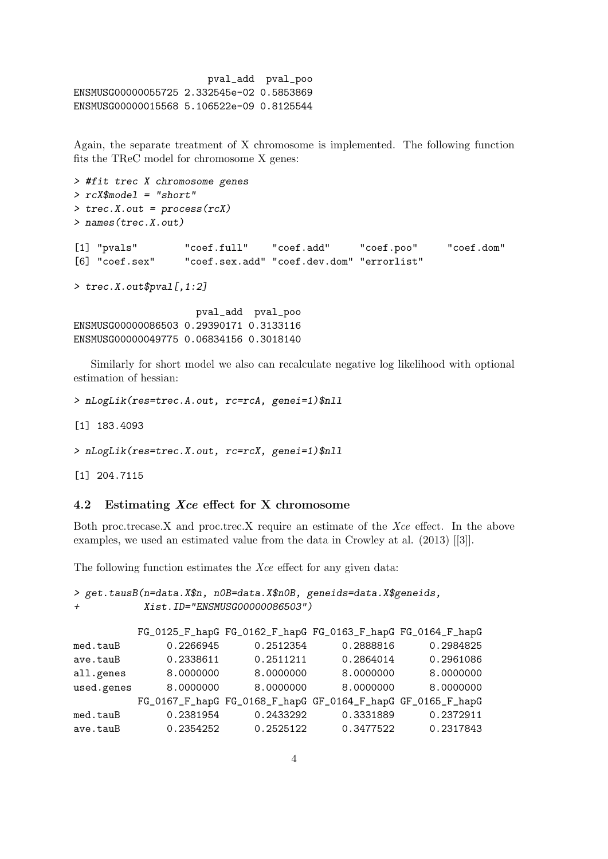```
pval_add pval_poo
ENSMUSG00000055725 2.332545e-02 0.5853869
ENSMUSG00000015568 5.106522e-09 0.8125544
```
Again, the separate treatment of X chromosome is implemented. The following function fits the TReC model for chromosome X genes:

```
> #fit trec X chromosome genes
> rcX$model = "short"
> trec.X.out = process(rcX)
> names(trec.X.out)
[1] "pvals" "coef.full" "coef.add" "coef.poo" "coef.dom"
[6] "coef.sex" "coef.sex.add" "coef.dev.dom" "errorlist"
> trec.X.out$pval[,1:2]
```
pval\_add pval\_poo ENSMUSG00000086503 0.29390171 0.3133116 ENSMUSG00000049775 0.06834156 0.3018140

Similarly for short model we also can recalculate negative log likelihood with optional estimation of hessian:

> nLogLik(res=trec.A.out, rc=rcA, genei=1)\$nll

[1] 183.4093

```
> nLogLik(res=trec.X.out, rc=rcX, genei=1)$nll
```
[1] 204.7115

#### 4.2 Estimating Xce effect for X chromosome

Both proc.trecase.X and proc.trec.X require an estimate of the Xce effect. In the above examples, we used an estimated value from the data in Crowley at al. (2013) [[3]].

The following function estimates the Xce effect for any given data:

```
> get.tausB(n=data.X$n, n0B=data.X$n0B, geneids=data.X$geneids,
            + Xist.ID="ENSMUSG00000086503")
```

|            |           | FG_0125_F_hapG FG_0162_F_hapG FG_0163_F_hapG FG_0164_F_hapG |           |           |
|------------|-----------|-------------------------------------------------------------|-----------|-----------|
| med.tauB   | 0.2266945 | 0.2512354                                                   | 0.2888816 | 0.2984825 |
| ave.tauB   | 0.2338611 | 0.2511211                                                   | 0.2864014 | 0.2961086 |
| all.genes  | 8.0000000 | 8.0000000                                                   | 8.0000000 | 8.0000000 |
| used.genes | 8.0000000 | 8.0000000                                                   | 8.0000000 | 8.0000000 |
|            |           | FG_0167_F_hapG FG_0168_F_hapG GF_0164_F_hapG GF_0165_F_hapG |           |           |
| med.tauB   | 0.2381954 | 0.2433292                                                   | 0.3331889 | 0.2372911 |
| ave.tauB   | 0.2354252 | 0.2525122                                                   | 0.3477522 | 0.2317843 |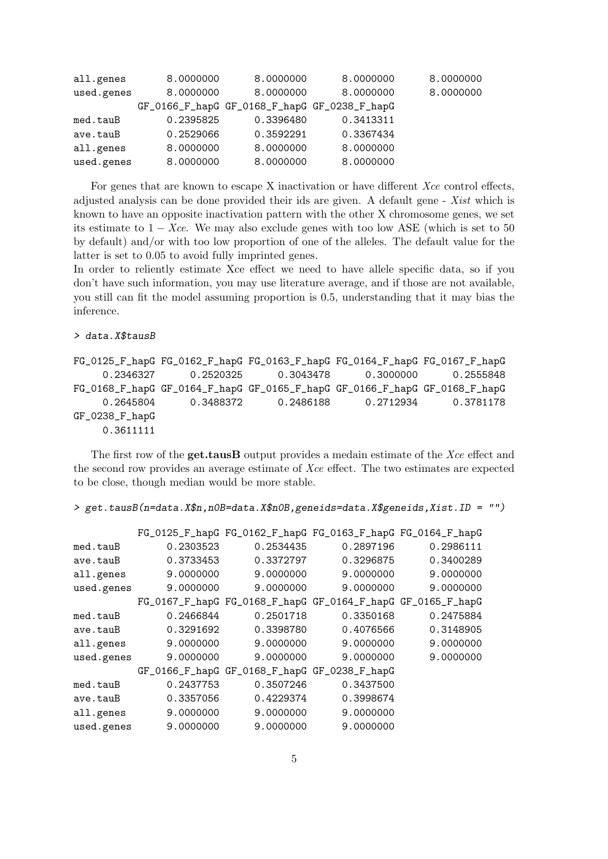| all.genes  | 8,0000000                                    | 8.0000000 | 8,0000000 | 8,0000000 |
|------------|----------------------------------------------|-----------|-----------|-----------|
| used.genes | 8.0000000                                    | 8.0000000 | 8.0000000 | 8.0000000 |
|            | GF_0166_F_hapG GF_0168_F_hapG GF_0238_F_hapG |           |           |           |
| med.tauB   | 0.2395825                                    | 0.3396480 | 0.3413311 |           |
| ave.tauB   | 0.2529066                                    | 0.3592291 | 0.3367434 |           |
| all.genes  | 8.0000000                                    | 8.0000000 | 8.0000000 |           |
| used.genes | 8.0000000                                    | 8.0000000 | 8.0000000 |           |

For genes that are known to escape X inactivation or have different Xce control effects, adjusted analysis can be done provided their ids are given. A default gene - Xist which is known to have an opposite inactivation pattern with the other X chromosome genes, we set its estimate to  $1 - Xce$ . We may also exclude genes with too low ASE (which is set to 50 by default) and/or with too low proportion of one of the alleles. The default value for the latter is set to 0.05 to avoid fully imprinted genes.

In order to reliently estimate Xce effect we need to have allele specific data, so if you don't have such information, you may use literature average, and if those are not available, you still can fit the model assuming proportion is 0.5, understanding that it may bias the inference.

```
> data.X$tausB
```

```
FG_0125_F_hapG FG_0162_F_hapG FG_0163_F_hapG FG_0164_F_hapG FG_0167_F_hapG
    0.2346327 0.2520325 0.3043478 0.3000000 0.2555848
FG_0168_F_hapG GF_0164_F_hapG GF_0165_F_hapG GF_0166_F_hapG GF_0168_F_hapG
    0.2645804 0.3488372 0.2486188 0.2712934 0.3781178
GF_0238_F_hapG
    0.3611111
```
The first row of the **get.tausB** output provides a medain estimate of the Xce effect and the second row provides an average estimate of Xce effect. The two estimates are expected to be close, though median would be more stable.

```
> get.tausB(n=data.X$n,n0B=data.X$n0B,geneids=data.X$geneids,Xist.ID = "")
```

|            |           |                                              | FG_0125_F_hapG FG_0162_F_hapG FG_0163_F_hapG FG_0164_F_hapG |           |
|------------|-----------|----------------------------------------------|-------------------------------------------------------------|-----------|
| med.tauB   | 0.2303523 | 0.2534435                                    | 0.2897196                                                   | 0.2986111 |
| ave.tauB   | 0.3733453 | 0.3372797                                    | 0.3296875                                                   | 0.3400289 |
| all.genes  | 9.0000000 | 9.0000000                                    | 9.0000000                                                   | 9.0000000 |
| used.genes | 9.0000000 | 9.0000000                                    | 9.0000000                                                   | 9.0000000 |
|            |           |                                              | FG_0167_F_hapG FG_0168_F_hapG GF_0164_F_hapG GF_0165_F_hapG |           |
| med.tauB   | 0.2466844 | 0.2501718                                    | 0.3350168                                                   | 0.2475884 |
| ave.tauB   | 0.3291692 | 0.3398780                                    | 0.4076566                                                   | 0.3148905 |
| all.genes  | 9.0000000 | 9.0000000                                    | 9.0000000                                                   | 9.0000000 |
| used.genes | 9.0000000 | 9.0000000                                    | 9.0000000                                                   | 9.0000000 |
|            |           | GF_0166_F_hapG GF_0168_F_hapG GF_0238_F_hapG |                                                             |           |
| med.tauB   | 0.2437753 | 0.3507246                                    | 0.3437500                                                   |           |
| ave.tauB   | 0.3357056 | 0.4229374                                    | 0.3998674                                                   |           |
| all.genes  | 9.0000000 | 9.0000000                                    | 9.0000000                                                   |           |
| used.genes | 9.0000000 | 9.0000000                                    | 9.0000000                                                   |           |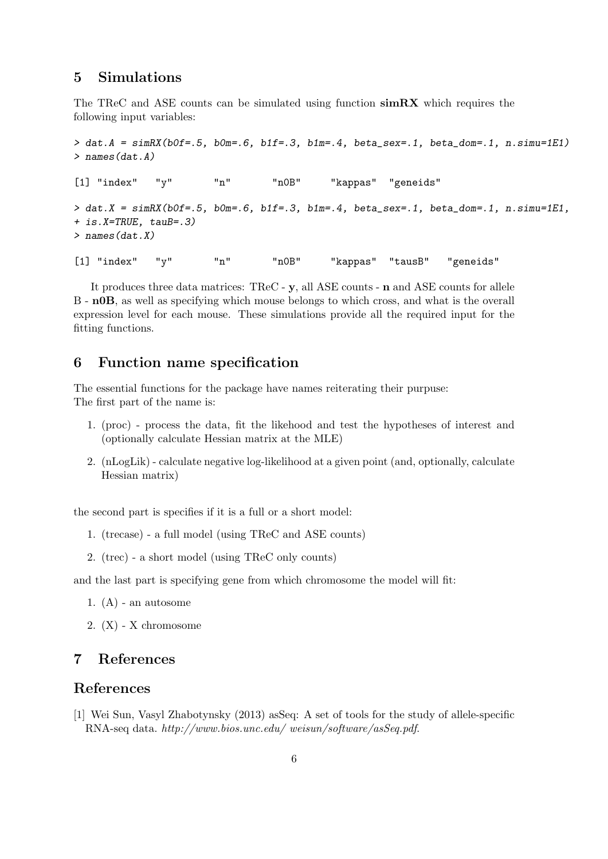## 5 Simulations

The TReC and ASE counts can be simulated using function simRX which requires the following input variables:

```
> dat.A = simRX(bOf=.5, bOm=.6, b1f=.3, b1m=.4, beta\_sex=.1, beta\_dom=.1, n.simu=1E1)> names(dat.A)
[1] "index" "y" "n" "n0B" "kappas" "geneids"
> dat.X = simRX(bOf=.5, b0m=.6, b1f=.3, b1m=.4, beta\_sex=.1, beta\_dom=.1, n.simu=1E1,+ is.X=TRUE, tauB=.3)
> names(dat.X)
[1] "index" "y" "n" "nOB" "kappas" "tausB" "geneids"
```
It produces three data matrices: TReC - y, all ASE counts - n and ASE counts for allele B - n0B, as well as specifying which mouse belongs to which cross, and what is the overall expression level for each mouse. These simulations provide all the required input for the fitting functions.

# 6 Function name specification

The essential functions for the package have names reiterating their purpuse: The first part of the name is:

- 1. (proc) process the data, fit the likehood and test the hypotheses of interest and (optionally calculate Hessian matrix at the MLE)
- 2. (nLogLik) calculate negative log-likelihood at a given point (and, optionally, calculate Hessian matrix)

the second part is specifies if it is a full or a short model:

- 1. (trecase) a full model (using TReC and ASE counts)
- 2. (trec) a short model (using TReC only counts)

and the last part is specifying gene from which chromosome the model will fit:

- 1.  $(A)$  an autosome
- 2. (X) X chromosome

## 7 References

## References

[1] Wei Sun, Vasyl Zhabotynsky (2013) asSeq: A set of tools for the study of allele-specific RNA-seq data. http://www.bios.unc.edu/ weisun/software/asSeq.pdf.